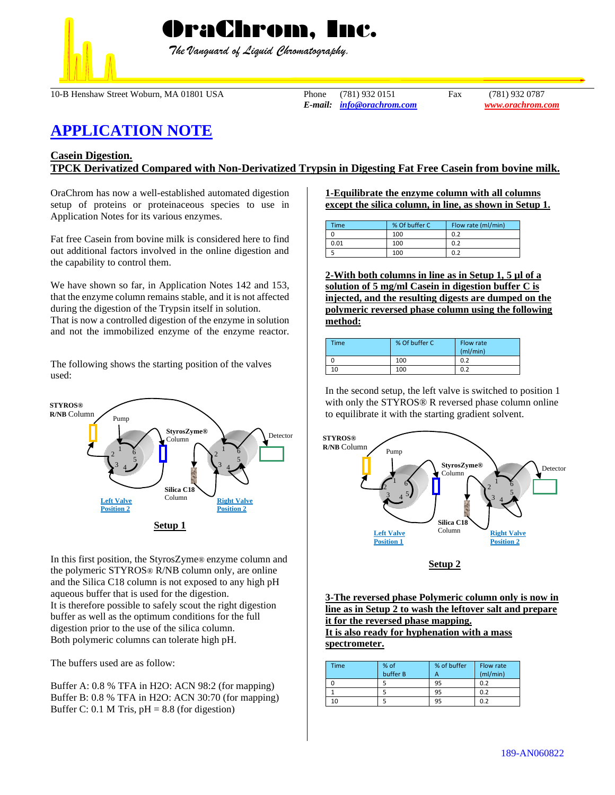

 *The Vanguard of Liquid Chromatography.*

10-B Henshaw Street Woburn, MA 01801 USA Phone (781) 932 0151 Fax (781) 932 0787

*E-mail: [info@orachrom.com](mailto:info@orachrom.com) www.orachrom.com*

# **APPLICATION NOTE**

## **Casein Digestion. TPCK Derivatized Compared with Non-Derivatized Trypsin in Digesting Fat Free Casein from bovine milk.**

OraChrom has now a well-established automated digestion setup of proteins or proteinaceous species to use in Application Notes for its various enzymes.

Fat free Casein from bovine milk is considered here to find out additional factors involved in the online digestion and the capability to control them.

We have shown so far, in Application Notes 142 and 153, that the enzyme column remains stable, and it is not affected during the digestion of the Trypsin itself in solution. That is now a controlled digestion of the enzyme in solution and not the immobilized enzyme of the enzyme reactor.

The following shows the starting position of the valves used:



In this first position, the StyrosZyme® enzyme column and the polymeric STYROS® R/NB column only, are online and the Silica C18 column is not exposed to any high pH aqueous buffer that is used for the digestion. It is therefore possible to safely scout the right digestion buffer as well as the optimum conditions for the full digestion prior to the use of the silica column. Both polymeric columns can tolerate high pH.

The buffers used are as follow:

Buffer A: 0.8 % TFA in H2O: ACN 98:2 (for mapping) Buffer B: 0.8 % TFA in H2O: ACN 30:70 (for mapping) Buffer C: 0.1 M Tris,  $pH = 8.8$  (for digestion)

**1-Equilibrate the enzyme column with all columns except the silica column, in line, as shown in Setup 1.**

| <b>Time</b> | % Of buffer C | Flow rate (ml/min) |  |
|-------------|---------------|--------------------|--|
|             | 100           | 0.2                |  |
| 0.01        | 100           | 0.2                |  |
|             | 100           | 0.2                |  |

**2-With both columns in line as in Setup 1, 5 µl of a solution of 5 mg/ml Casein in digestion buffer C is injected, and the resulting digests are dumped on the polymeric reversed phase column using the following method:**

| Time | % Of buffer C | Flow rate<br>(mI/min) |
|------|---------------|-----------------------|
|      | 100           | 0.2                   |
| 10   | 100           | 0.2                   |

In the second setup, the left valve is switched to position 1 with only the STYROS® R reversed phase column online to equilibrate it with the starting gradient solvent.



**Setup 2**

**3-The reversed phase Polymeric column only is now in line as in Setup 2 to wash the leftover salt and prepare it for the reversed phase mapping. It is also ready for hyphenation with a mass spectrometer.** 

| <b>Time</b> | % of<br>buffer B | % of buffer | Flow rate<br>(mI/min) |
|-------------|------------------|-------------|-----------------------|
|             |                  | 95          | 0.2                   |
|             |                  | 95          | 0.2                   |
| 10          |                  | 95          | ሰ ን                   |